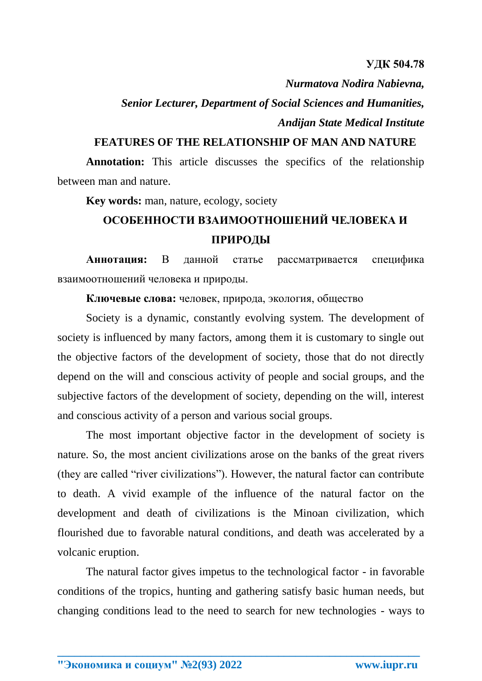**УДК 504.78** 

*Nurmatova Nodira Nabievna,* 

*Senior Lecturer, Department of Social Sciences and Humanities, Andijan State Medical Institute*

## **FEATURES OF THE RELATIONSHIP OF MAN AND NATURE**

**Annotation:** This article discusses the specifics of the relationship between man and nature.

**Key words:** man, nature, ecology, society

## **ОСОБЕННОСТИ ВЗАИМООТНОШЕНИЙ ЧЕЛОВЕКА И ПРИРОДЫ**

**Аннотация:** В данной статье рассматривается специфика взаимоотношений человека и природы.

**Ключевые слова:** человек, природа, экология, общество

Society is a dynamic, constantly evolving system. The development of society is influenced by many factors, among them it is customary to single out the objective factors of the development of society, those that do not directly depend on the will and conscious activity of people and social groups, and the subjective factors of the development of society, depending on the will, interest and conscious activity of a person and various social groups.

The most important objective factor in the development of society is nature. So, the most ancient civilizations arose on the banks of the great rivers (they are called "river civilizations"). However, the natural factor can contribute to death. A vivid example of the influence of the natural factor on the development and death of civilizations is the Minoan civilization, which flourished due to favorable natural conditions, and death was accelerated by a volcanic eruption.

The natural factor gives impetus to the technological factor - in favorable conditions of the tropics, hunting and gathering satisfy basic human needs, but changing conditions lead to the need to search for new technologies - ways to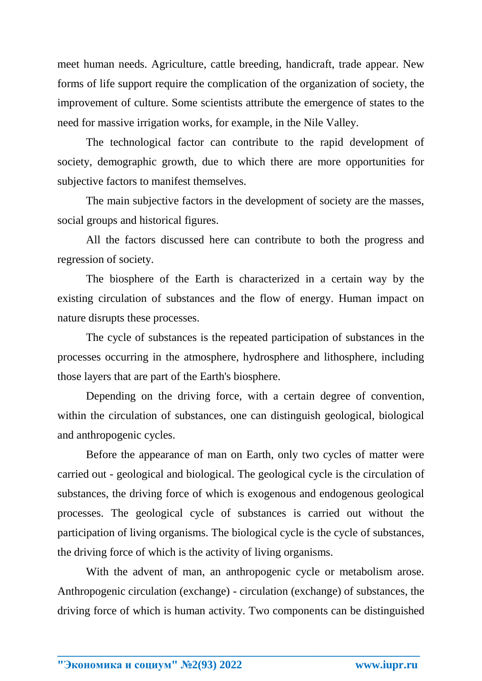meet human needs. Agriculture, cattle breeding, handicraft, trade appear. New forms of life support require the complication of the organization of society, the improvement of culture. Some scientists attribute the emergence of states to the need for massive irrigation works, for example, in the Nile Valley.

The technological factor can contribute to the rapid development of society, demographic growth, due to which there are more opportunities for subjective factors to manifest themselves.

The main subjective factors in the development of society are the masses, social groups and historical figures.

All the factors discussed here can contribute to both the progress and regression of society.

The biosphere of the Earth is characterized in a certain way by the existing circulation of substances and the flow of energy. Human impact on nature disrupts these processes.

The cycle of substances is the repeated participation of substances in the processes occurring in the atmosphere, hydrosphere and lithosphere, including those layers that are part of the Earth's biosphere.

Depending on the driving force, with a certain degree of convention, within the circulation of substances, one can distinguish geological, biological and anthropogenic cycles.

Before the appearance of man on Earth, only two cycles of matter were carried out - geological and biological. The geological cycle is the circulation of substances, the driving force of which is exogenous and endogenous geological processes. The geological cycle of substances is carried out without the participation of living organisms. The biological cycle is the cycle of substances, the driving force of which is the activity of living organisms.

With the advent of man, an anthropogenic cycle or metabolism arose. Anthropogenic circulation (exchange) - circulation (exchange) of substances, the driving force of which is human activity. Two components can be distinguished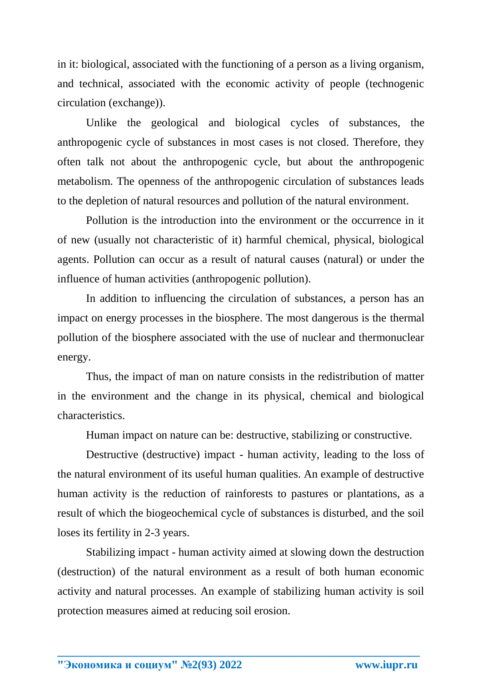in it: biological, associated with the functioning of a person as a living organism, and technical, associated with the economic activity of people (technogenic circulation (exchange)).

Unlike the geological and biological cycles of substances, the anthropogenic cycle of substances in most cases is not closed. Therefore, they often talk not about the anthropogenic cycle, but about the anthropogenic metabolism. The openness of the anthropogenic circulation of substances leads to the depletion of natural resources and pollution of the natural environment.

Pollution is the introduction into the environment or the occurrence in it of new (usually not characteristic of it) harmful chemical, physical, biological agents. Pollution can occur as a result of natural causes (natural) or under the influence of human activities (anthropogenic pollution).

In addition to influencing the circulation of substances, a person has an impact on energy processes in the biosphere. The most dangerous is the thermal pollution of the biosphere associated with the use of nuclear and thermonuclear energy.

Thus, the impact of man on nature consists in the redistribution of matter in the environment and the change in its physical, chemical and biological characteristics.

Human impact on nature can be: destructive, stabilizing or constructive.

Destructive (destructive) impact - human activity, leading to the loss of the natural environment of its useful human qualities. An example of destructive human activity is the reduction of rainforests to pastures or plantations, as a result of which the biogeochemical cycle of substances is disturbed, and the soil loses its fertility in 2-3 years.

Stabilizing impact - human activity aimed at slowing down the destruction (destruction) of the natural environment as a result of both human economic activity and natural processes. An example of stabilizing human activity is soil protection measures aimed at reducing soil erosion.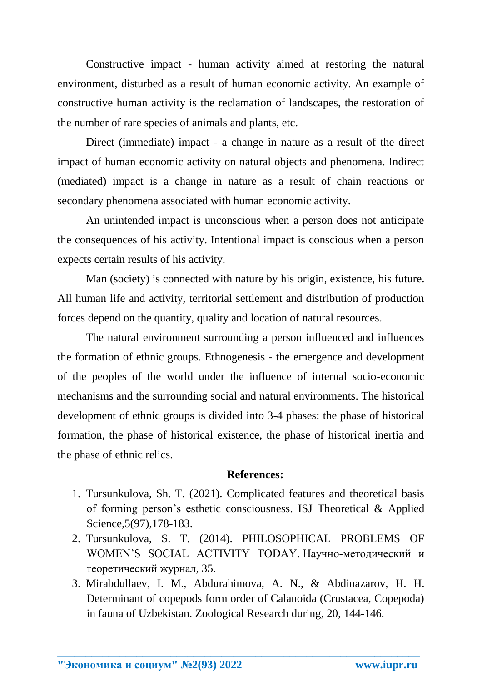Constructive impact - human activity aimed at restoring the natural environment, disturbed as a result of human economic activity. An example of constructive human activity is the reclamation of landscapes, the restoration of the number of rare species of animals and plants, etc.

Direct (immediate) impact - a change in nature as a result of the direct impact of human economic activity on natural objects and phenomena. Indirect (mediated) impact is a change in nature as a result of chain reactions or secondary phenomena associated with human economic activity.

An unintended impact is unconscious when a person does not anticipate the consequences of his activity. Intentional impact is conscious when a person expects certain results of his activity.

Man (society) is connected with nature by his origin, existence, his future. All human life and activity, territorial settlement and distribution of production forces depend on the quantity, quality and location of natural resources.

The natural environment surrounding a person influenced and influences the formation of ethnic groups. Ethnogenesis - the emergence and development of the peoples of the world under the influence of internal socio-economic mechanisms and the surrounding social and natural environments. The historical development of ethnic groups is divided into 3-4 phases: the phase of historical formation, the phase of historical existence, the phase of historical inertia and the phase of ethnic relics.

## **References:**

- 1. Tursunkulova, Sh. T. (2021). Complicated features and theoretical basis of forming person's esthetic consciousness. ISJ Theoretical & Applied Science,5(97),178-183.
- 2. Tursunkulova, S. T. (2014). PHILOSOPHICAL PROBLEMS OF WOMEN'S SOCIAL ACTIVITY TODAY. Научно-методический и теоретический журнал, 35.
- 3. Mirabdullaev, I. M., Abdurahimova, A. N., & Abdinazarov, H. H. Determinant of copepods form order of Calanoida (Crustacea, Copepoda) in fauna of Uzbekistan. Zoological Research during, 20, 144-146.